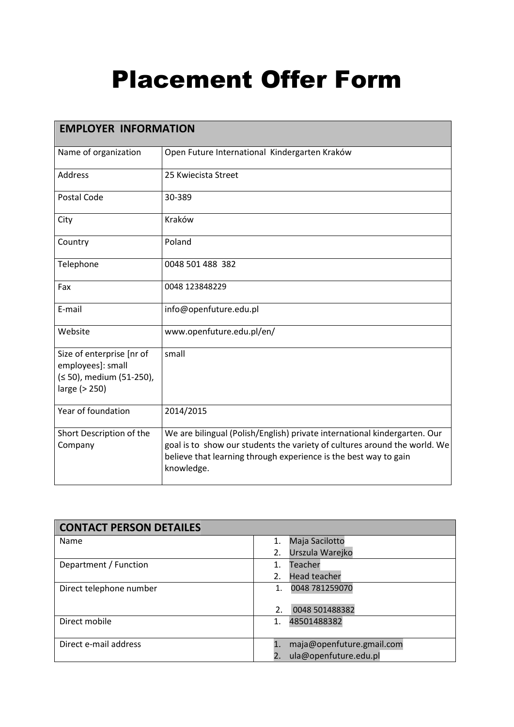## Placement Offer Form

| <b>EMPLOYER INFORMATION</b>                                                                 |                                                                                                                                                                                                                                          |  |
|---------------------------------------------------------------------------------------------|------------------------------------------------------------------------------------------------------------------------------------------------------------------------------------------------------------------------------------------|--|
| Name of organization                                                                        | Open Future International Kindergarten Kraków                                                                                                                                                                                            |  |
| <b>Address</b>                                                                              | 25 Kwiecista Street                                                                                                                                                                                                                      |  |
| Postal Code                                                                                 | 30-389                                                                                                                                                                                                                                   |  |
| City                                                                                        | Kraków                                                                                                                                                                                                                                   |  |
| Country                                                                                     | Poland                                                                                                                                                                                                                                   |  |
| Telephone                                                                                   | 0048 501 488 382                                                                                                                                                                                                                         |  |
| Fax                                                                                         | 0048 123848229                                                                                                                                                                                                                           |  |
| E-mail                                                                                      | info@openfuture.edu.pl                                                                                                                                                                                                                   |  |
| Website                                                                                     | www.openfuture.edu.pl/en/                                                                                                                                                                                                                |  |
| Size of enterprise [nr of<br>employees]: small<br>(≤ 50), medium (51-250),<br>large (> 250) | small                                                                                                                                                                                                                                    |  |
| Year of foundation                                                                          | 2014/2015                                                                                                                                                                                                                                |  |
| Short Description of the<br>Company                                                         | We are bilingual (Polish/English) private international kindergarten. Our<br>goal is to show our students the variety of cultures around the world. We<br>believe that learning through experience is the best way to gain<br>knowledge. |  |

| <b>CONTACT PERSON DETAILES</b> |                             |
|--------------------------------|-----------------------------|
| Name                           | Maja Sacilotto<br>1.        |
|                                | Urszula Warejko<br>2.       |
| Department / Function          | Teacher                     |
|                                | <b>Head teacher</b><br>2.   |
| Direct telephone number        | 0048 781259070<br>1.        |
|                                |                             |
|                                | 0048 501488382<br>2.        |
| Direct mobile                  | 48501488382                 |
|                                |                             |
| Direct e-mail address          | maja@openfuture.gmail.com   |
|                                | ula@openfuture.edu.pl<br>2. |